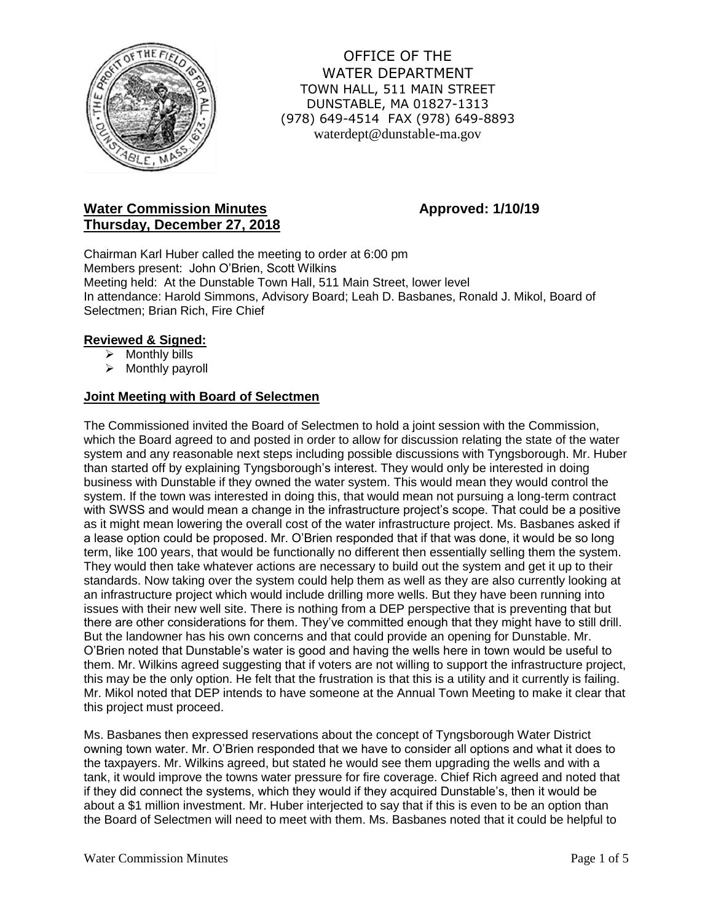

OFFICE OF THE WATER DEPARTMENT TOWN HALL, 511 MAIN STREET DUNSTABLE, MA 01827-1313 (978) 649-4514 FAX (978) 649-8893 waterdept@dunstable-ma.gov

# **Water Commission Minutes <b>Approved:** 1/10/19 **Thursday, December 27, 2018**

Chairman Karl Huber called the meeting to order at 6:00 pm Members present: John O'Brien, Scott Wilkins Meeting held: At the Dunstable Town Hall, 511 Main Street, lower level In attendance: Harold Simmons, Advisory Board; Leah D. Basbanes, Ronald J. Mikol, Board of Selectmen; Brian Rich, Fire Chief

## **Reviewed & Signed:**

- ➢ Monthly bills
- ➢ Monthly payroll

#### **Joint Meeting with Board of Selectmen**

The Commissioned invited the Board of Selectmen to hold a joint session with the Commission, which the Board agreed to and posted in order to allow for discussion relating the state of the water system and any reasonable next steps including possible discussions with Tyngsborough. Mr. Huber than started off by explaining Tyngsborough's interest. They would only be interested in doing business with Dunstable if they owned the water system. This would mean they would control the system. If the town was interested in doing this, that would mean not pursuing a long-term contract with SWSS and would mean a change in the infrastructure project's scope. That could be a positive as it might mean lowering the overall cost of the water infrastructure project. Ms. Basbanes asked if a lease option could be proposed. Mr. O'Brien responded that if that was done, it would be so long term, like 100 years, that would be functionally no different then essentially selling them the system. They would then take whatever actions are necessary to build out the system and get it up to their standards. Now taking over the system could help them as well as they are also currently looking at an infrastructure project which would include drilling more wells. But they have been running into issues with their new well site. There is nothing from a DEP perspective that is preventing that but there are other considerations for them. They've committed enough that they might have to still drill. But the landowner has his own concerns and that could provide an opening for Dunstable. Mr. O'Brien noted that Dunstable's water is good and having the wells here in town would be useful to them. Mr. Wilkins agreed suggesting that if voters are not willing to support the infrastructure project, this may be the only option. He felt that the frustration is that this is a utility and it currently is failing. Mr. Mikol noted that DEP intends to have someone at the Annual Town Meeting to make it clear that this project must proceed.

Ms. Basbanes then expressed reservations about the concept of Tyngsborough Water District owning town water. Mr. O'Brien responded that we have to consider all options and what it does to the taxpayers. Mr. Wilkins agreed, but stated he would see them upgrading the wells and with a tank, it would improve the towns water pressure for fire coverage. Chief Rich agreed and noted that if they did connect the systems, which they would if they acquired Dunstable's, then it would be about a \$1 million investment. Mr. Huber interjected to say that if this is even to be an option than the Board of Selectmen will need to meet with them. Ms. Basbanes noted that it could be helpful to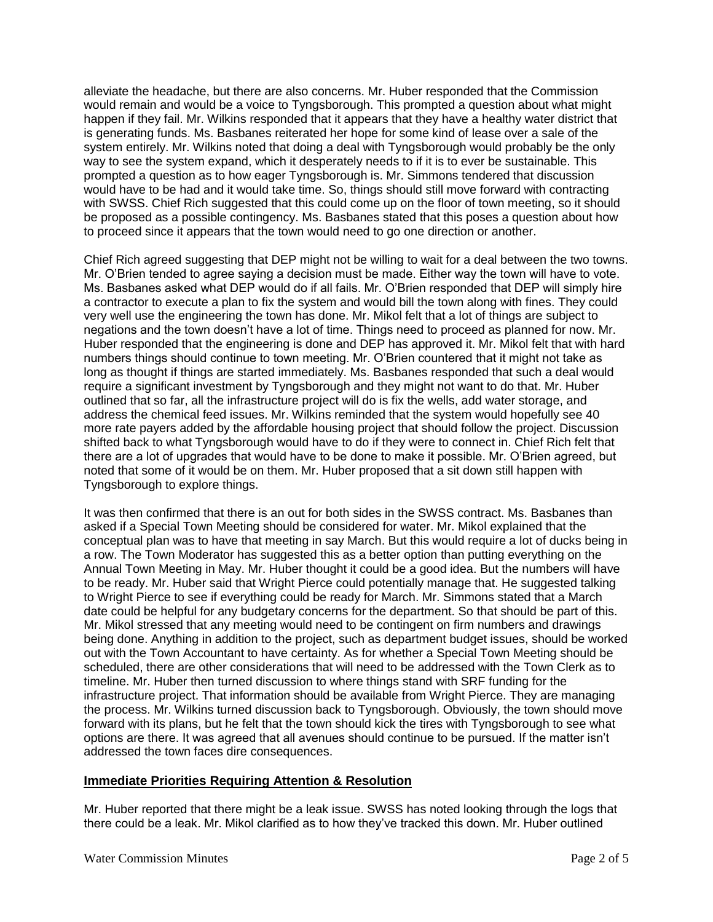alleviate the headache, but there are also concerns. Mr. Huber responded that the Commission would remain and would be a voice to Tyngsborough. This prompted a question about what might happen if they fail. Mr. Wilkins responded that it appears that they have a healthy water district that is generating funds. Ms. Basbanes reiterated her hope for some kind of lease over a sale of the system entirely. Mr. Wilkins noted that doing a deal with Tyngsborough would probably be the only way to see the system expand, which it desperately needs to if it is to ever be sustainable. This prompted a question as to how eager Tyngsborough is. Mr. Simmons tendered that discussion would have to be had and it would take time. So, things should still move forward with contracting with SWSS. Chief Rich suggested that this could come up on the floor of town meeting, so it should be proposed as a possible contingency. Ms. Basbanes stated that this poses a question about how to proceed since it appears that the town would need to go one direction or another.

Chief Rich agreed suggesting that DEP might not be willing to wait for a deal between the two towns. Mr. O'Brien tended to agree saying a decision must be made. Either way the town will have to vote. Ms. Basbanes asked what DEP would do if all fails. Mr. O'Brien responded that DEP will simply hire a contractor to execute a plan to fix the system and would bill the town along with fines. They could very well use the engineering the town has done. Mr. Mikol felt that a lot of things are subject to negations and the town doesn't have a lot of time. Things need to proceed as planned for now. Mr. Huber responded that the engineering is done and DEP has approved it. Mr. Mikol felt that with hard numbers things should continue to town meeting. Mr. O'Brien countered that it might not take as long as thought if things are started immediately. Ms. Basbanes responded that such a deal would require a significant investment by Tyngsborough and they might not want to do that. Mr. Huber outlined that so far, all the infrastructure project will do is fix the wells, add water storage, and address the chemical feed issues. Mr. Wilkins reminded that the system would hopefully see 40 more rate payers added by the affordable housing project that should follow the project. Discussion shifted back to what Tyngsborough would have to do if they were to connect in. Chief Rich felt that there are a lot of upgrades that would have to be done to make it possible. Mr. O'Brien agreed, but noted that some of it would be on them. Mr. Huber proposed that a sit down still happen with Tyngsborough to explore things.

It was then confirmed that there is an out for both sides in the SWSS contract. Ms. Basbanes than asked if a Special Town Meeting should be considered for water. Mr. Mikol explained that the conceptual plan was to have that meeting in say March. But this would require a lot of ducks being in a row. The Town Moderator has suggested this as a better option than putting everything on the Annual Town Meeting in May. Mr. Huber thought it could be a good idea. But the numbers will have to be ready. Mr. Huber said that Wright Pierce could potentially manage that. He suggested talking to Wright Pierce to see if everything could be ready for March. Mr. Simmons stated that a March date could be helpful for any budgetary concerns for the department. So that should be part of this. Mr. Mikol stressed that any meeting would need to be contingent on firm numbers and drawings being done. Anything in addition to the project, such as department budget issues, should be worked out with the Town Accountant to have certainty. As for whether a Special Town Meeting should be scheduled, there are other considerations that will need to be addressed with the Town Clerk as to timeline. Mr. Huber then turned discussion to where things stand with SRF funding for the infrastructure project. That information should be available from Wright Pierce. They are managing the process. Mr. Wilkins turned discussion back to Tyngsborough. Obviously, the town should move forward with its plans, but he felt that the town should kick the tires with Tyngsborough to see what options are there. It was agreed that all avenues should continue to be pursued. If the matter isn't addressed the town faces dire consequences.

## **Immediate Priorities Requiring Attention & Resolution**

Mr. Huber reported that there might be a leak issue. SWSS has noted looking through the logs that there could be a leak. Mr. Mikol clarified as to how they've tracked this down. Mr. Huber outlined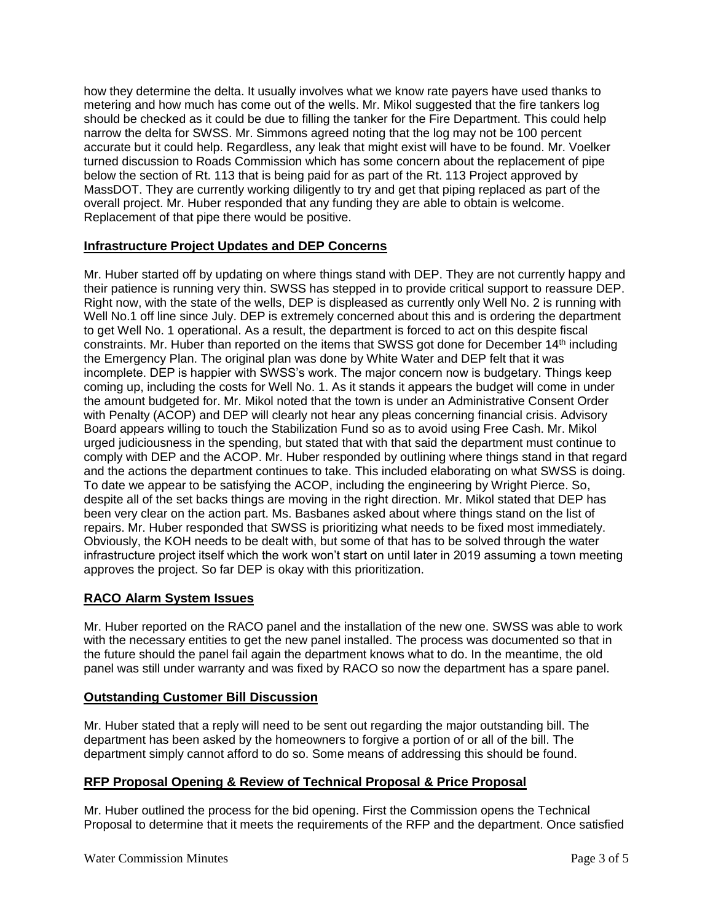how they determine the delta. It usually involves what we know rate payers have used thanks to metering and how much has come out of the wells. Mr. Mikol suggested that the fire tankers log should be checked as it could be due to filling the tanker for the Fire Department. This could help narrow the delta for SWSS. Mr. Simmons agreed noting that the log may not be 100 percent accurate but it could help. Regardless, any leak that might exist will have to be found. Mr. Voelker turned discussion to Roads Commission which has some concern about the replacement of pipe below the section of Rt. 113 that is being paid for as part of the Rt. 113 Project approved by MassDOT. They are currently working diligently to try and get that piping replaced as part of the overall project. Mr. Huber responded that any funding they are able to obtain is welcome. Replacement of that pipe there would be positive.

## **Infrastructure Project Updates and DEP Concerns**

Mr. Huber started off by updating on where things stand with DEP. They are not currently happy and their patience is running very thin. SWSS has stepped in to provide critical support to reassure DEP. Right now, with the state of the wells, DEP is displeased as currently only Well No. 2 is running with Well No.1 off line since July. DEP is extremely concerned about this and is ordering the department to get Well No. 1 operational. As a result, the department is forced to act on this despite fiscal constraints. Mr. Huber than reported on the items that SWSS got done for December 14<sup>th</sup> including the Emergency Plan. The original plan was done by White Water and DEP felt that it was incomplete. DEP is happier with SWSS's work. The major concern now is budgetary. Things keep coming up, including the costs for Well No. 1. As it stands it appears the budget will come in under the amount budgeted for. Mr. Mikol noted that the town is under an Administrative Consent Order with Penalty (ACOP) and DEP will clearly not hear any pleas concerning financial crisis. Advisory Board appears willing to touch the Stabilization Fund so as to avoid using Free Cash. Mr. Mikol urged judiciousness in the spending, but stated that with that said the department must continue to comply with DEP and the ACOP. Mr. Huber responded by outlining where things stand in that regard and the actions the department continues to take. This included elaborating on what SWSS is doing. To date we appear to be satisfying the ACOP, including the engineering by Wright Pierce. So, despite all of the set backs things are moving in the right direction. Mr. Mikol stated that DEP has been very clear on the action part. Ms. Basbanes asked about where things stand on the list of repairs. Mr. Huber responded that SWSS is prioritizing what needs to be fixed most immediately. Obviously, the KOH needs to be dealt with, but some of that has to be solved through the water infrastructure project itself which the work won't start on until later in 2019 assuming a town meeting approves the project. So far DEP is okay with this prioritization.

# **RACO Alarm System Issues**

Mr. Huber reported on the RACO panel and the installation of the new one. SWSS was able to work with the necessary entities to get the new panel installed. The process was documented so that in the future should the panel fail again the department knows what to do. In the meantime, the old panel was still under warranty and was fixed by RACO so now the department has a spare panel.

## **Outstanding Customer Bill Discussion**

Mr. Huber stated that a reply will need to be sent out regarding the major outstanding bill. The department has been asked by the homeowners to forgive a portion of or all of the bill. The department simply cannot afford to do so. Some means of addressing this should be found.

## **RFP Proposal Opening & Review of Technical Proposal & Price Proposal**

Mr. Huber outlined the process for the bid opening. First the Commission opens the Technical Proposal to determine that it meets the requirements of the RFP and the department. Once satisfied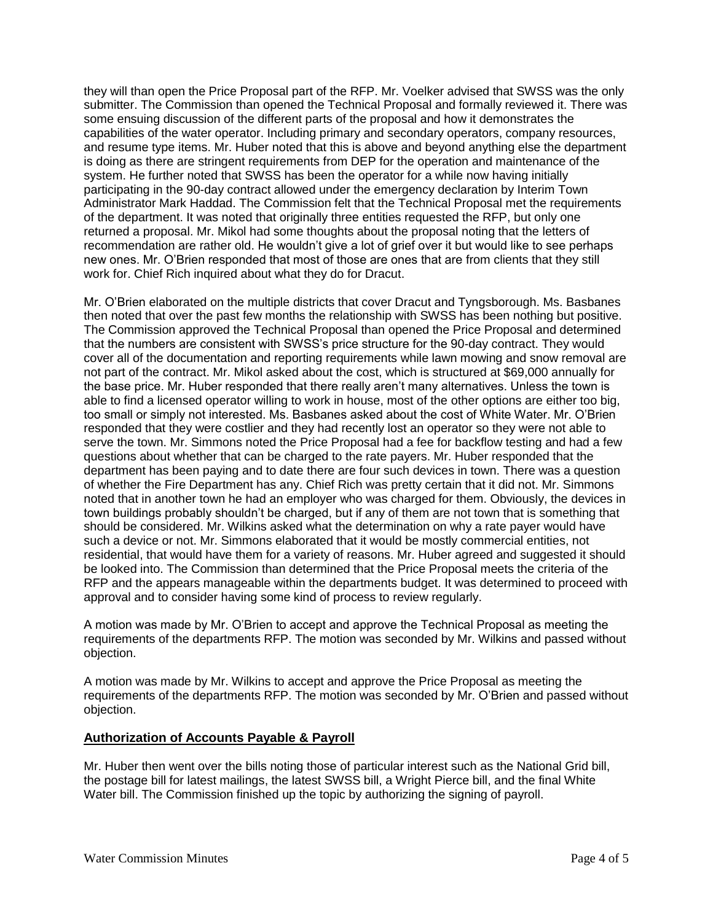they will than open the Price Proposal part of the RFP. Mr. Voelker advised that SWSS was the only submitter. The Commission than opened the Technical Proposal and formally reviewed it. There was some ensuing discussion of the different parts of the proposal and how it demonstrates the capabilities of the water operator. Including primary and secondary operators, company resources, and resume type items. Mr. Huber noted that this is above and beyond anything else the department is doing as there are stringent requirements from DEP for the operation and maintenance of the system. He further noted that SWSS has been the operator for a while now having initially participating in the 90-day contract allowed under the emergency declaration by Interim Town Administrator Mark Haddad. The Commission felt that the Technical Proposal met the requirements of the department. It was noted that originally three entities requested the RFP, but only one returned a proposal. Mr. Mikol had some thoughts about the proposal noting that the letters of recommendation are rather old. He wouldn't give a lot of grief over it but would like to see perhaps new ones. Mr. O'Brien responded that most of those are ones that are from clients that they still work for. Chief Rich inquired about what they do for Dracut.

Mr. O'Brien elaborated on the multiple districts that cover Dracut and Tyngsborough. Ms. Basbanes then noted that over the past few months the relationship with SWSS has been nothing but positive. The Commission approved the Technical Proposal than opened the Price Proposal and determined that the numbers are consistent with SWSS's price structure for the 90-day contract. They would cover all of the documentation and reporting requirements while lawn mowing and snow removal are not part of the contract. Mr. Mikol asked about the cost, which is structured at \$69,000 annually for the base price. Mr. Huber responded that there really aren't many alternatives. Unless the town is able to find a licensed operator willing to work in house, most of the other options are either too big, too small or simply not interested. Ms. Basbanes asked about the cost of White Water. Mr. O'Brien responded that they were costlier and they had recently lost an operator so they were not able to serve the town. Mr. Simmons noted the Price Proposal had a fee for backflow testing and had a few questions about whether that can be charged to the rate payers. Mr. Huber responded that the department has been paying and to date there are four such devices in town. There was a question of whether the Fire Department has any. Chief Rich was pretty certain that it did not. Mr. Simmons noted that in another town he had an employer who was charged for them. Obviously, the devices in town buildings probably shouldn't be charged, but if any of them are not town that is something that should be considered. Mr. Wilkins asked what the determination on why a rate payer would have such a device or not. Mr. Simmons elaborated that it would be mostly commercial entities, not residential, that would have them for a variety of reasons. Mr. Huber agreed and suggested it should be looked into. The Commission than determined that the Price Proposal meets the criteria of the RFP and the appears manageable within the departments budget. It was determined to proceed with approval and to consider having some kind of process to review regularly.

A motion was made by Mr. O'Brien to accept and approve the Technical Proposal as meeting the requirements of the departments RFP. The motion was seconded by Mr. Wilkins and passed without objection.

A motion was made by Mr. Wilkins to accept and approve the Price Proposal as meeting the requirements of the departments RFP. The motion was seconded by Mr. O'Brien and passed without objection.

#### **Authorization of Accounts Payable & Payroll**

Mr. Huber then went over the bills noting those of particular interest such as the National Grid bill, the postage bill for latest mailings, the latest SWSS bill, a Wright Pierce bill, and the final White Water bill. The Commission finished up the topic by authorizing the signing of payroll.